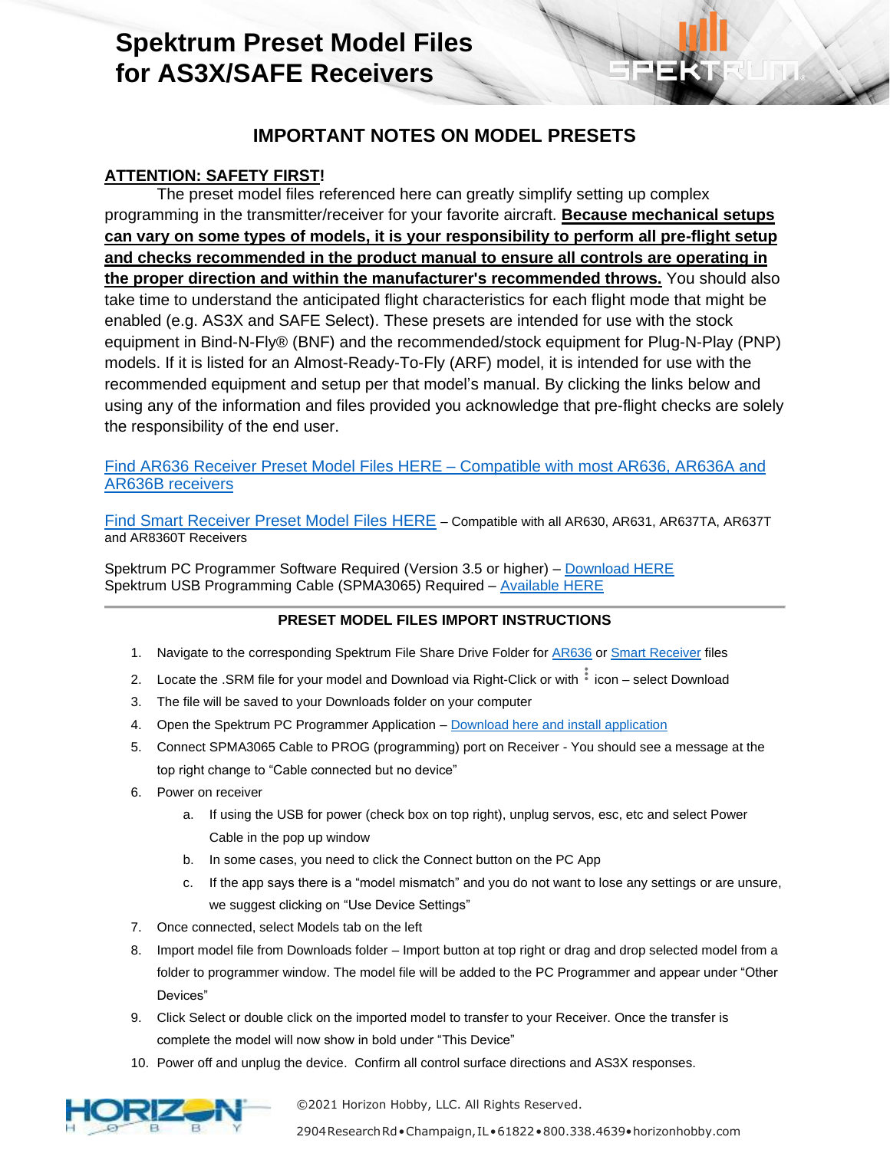# **Spektrum Preset Model Files for AS3X/SAFE Receivers**

## **IMPORTANT NOTES ON MODEL PRESETS**

## **ATTENTION: SAFETY FIRST!**

The preset model files referenced here can greatly simplify setting up complex programming in the transmitter/receiver for your favorite aircraft. **Because mechanical setups can vary on some types of models, it is your responsibility to perform all pre-flight setup and checks recommended in the product manual to ensure all controls are operating in the proper direction and within the manufacturer's recommended throws.** You should also take time to understand the anticipated flight characteristics for each flight mode that might be enabled (e.g. AS3X and SAFE Select). These presets are intended for use with the stock equipment in Bind-N-Fly® (BNF) and the recommended/stock equipment for Plug-N-Play (PNP) models. If it is listed for an Almost-Ready-To-Fly (ARF) model, it is intended for use with the recommended equipment and setup per that model's manual. By clicking the links below and using any of the information and files provided you acknowledge that pre-flight checks are solely the responsibility of the end user.

#### [Find AR636 Receiver Preset Model Files](https://drive.google.com/drive/folders/1a7LN5TbaJhDVy2FdBVfxntRMqcXdsfmC?usp=sharing) HERE – Compatible with most AR636, AR636A and AR636B receivers

[Find Smart Receiver Preset Model Files HERE](https://drive.google.com/drive/folders/1CsVMuIKE1bpwLKmy9xeUw2_IsVuirWjL?usp=sharing) – Compatible with all AR630, AR631, AR637TA, AR637T and AR8360T Receivers

Spektrum PC Programmer Software Required (Version 3.5 or higher) – [Download HERE](http://spektrumrc.cachefly.net/apps/spektrum_programmer.html) Spektrum USB Programming Cable (SPMA3065) Required - [Available](https://www.horizonhobby.com/product/transmitter-receiver-programming-cable-usb-interface/SPMA3065.html) HERE

#### **PRESET MODEL FILES IMPORT INSTRUCTIONS**

- 1. Navigate to the corresponding Spektrum File Share Drive Folder for **AR636** or [Smart Receiver](https://drive.google.com/drive/folders/1CsVMuIKE1bpwLKmy9xeUw2_IsVuirWjL?usp=sharing) files
- 2. Locate the .SRM file for your model and Download via Right-Click or with  $\frac{1}{3}$  icon select Download
- 3. The file will be saved to your Downloads folder on your computer
- 4. Open the Spektrum PC Programmer Application [Download here](http://spektrumrc.cachefly.net/apps/spektrum_programmer.html) and install application
- 5. Connect SPMA3065 Cable to PROG (programming) port on Receiver You should see a message at the top right change to "Cable connected but no device"
- 6. Power on receiver
	- a. If using the USB for power (check box on top right), unplug servos, esc, etc and select Power Cable in the pop up window
	- b. In some cases, you need to click the Connect button on the PC App
	- c. If the app says there is a "model mismatch" and you do not want to lose any settings or are unsure, we suggest clicking on "Use Device Settings"
- 7. Once connected, select Models tab on the left
- 8. Import model file from Downloads folder Import button at top right or drag and drop selected model from a folder to programmer window. The model file will be added to the PC Programmer and appear under "Other Devices"
- 9. Click Select or double click on the imported model to transfer to your Receiver. Once the transfer is complete the model will now show in bold under "This Device"
- 10. Power off and unplug the device. Confirm all control surface directions and AS3X responses.



©2021 Horizon Hobby, LLC. All Rights Reserved.